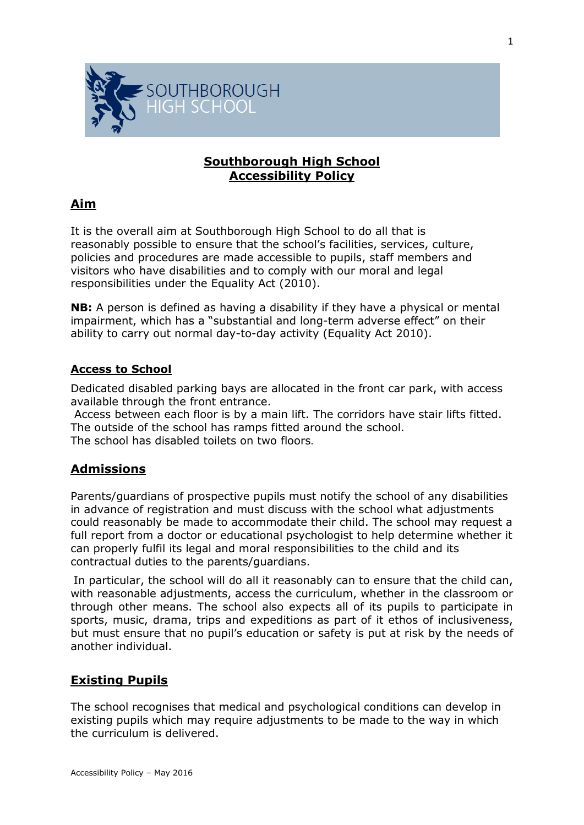

### **Southborough High School Accessibility Policy**

## **Aim**

It is the overall aim at Southborough High School to do all that is reasonably possible to ensure that the school's facilities, services, culture, policies and procedures are made accessible to pupils, staff members and visitors who have disabilities and to comply with our moral and legal responsibilities under the Equality Act (2010).

**NB:** A person is defined as having a disability if they have a physical or mental impairment, which has a "substantial and long-term adverse effect" on their ability to carry out normal day-to-day activity (Equality Act 2010).

### **Access to School**

Dedicated disabled parking bays are allocated in the front car park, with access available through the front entrance.

Access between each floor is by a main lift. The corridors have stair lifts fitted. The outside of the school has ramps fitted around the school. The school has disabled toilets on two floors.

### **Admissions**

Parents/guardians of prospective pupils must notify the school of any disabilities in advance of registration and must discuss with the school what adjustments could reasonably be made to accommodate their child. The school may request a full report from a doctor or educational psychologist to help determine whether it can properly fulfil its legal and moral responsibilities to the child and its contractual duties to the parents/guardians.

In particular, the school will do all it reasonably can to ensure that the child can, with reasonable adjustments, access the curriculum, whether in the classroom or through other means. The school also expects all of its pupils to participate in sports, music, drama, trips and expeditions as part of it ethos of inclusiveness, but must ensure that no pupil's education or safety is put at risk by the needs of another individual.

### **Existing Pupils**

The school recognises that medical and psychological conditions can develop in existing pupils which may require adjustments to be made to the way in which the curriculum is delivered.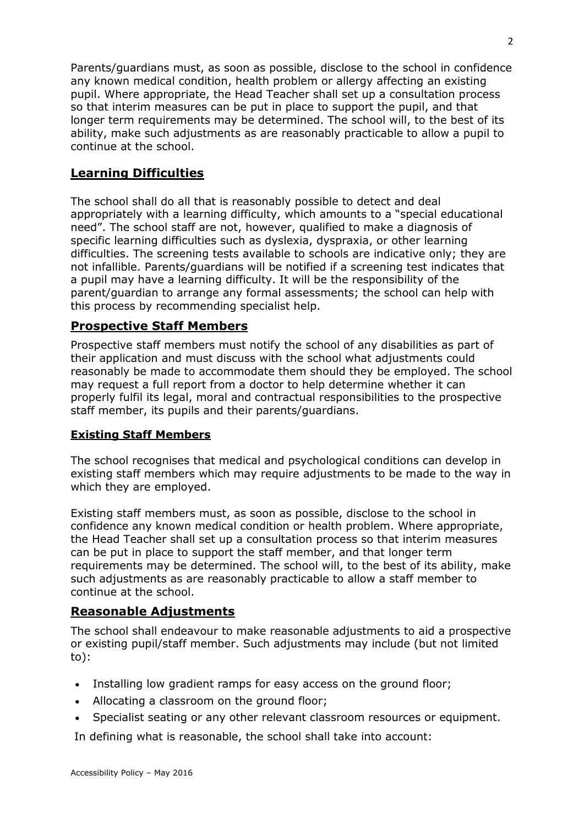Parents/guardians must, as soon as possible, disclose to the school in confidence any known medical condition, health problem or allergy affecting an existing pupil. Where appropriate, the Head Teacher shall set up a consultation process so that interim measures can be put in place to support the pupil, and that longer term requirements may be determined. The school will, to the best of its ability, make such adjustments as are reasonably practicable to allow a pupil to continue at the school.

## **Learning Difficulties**

The school shall do all that is reasonably possible to detect and deal appropriately with a learning difficulty, which amounts to a "special educational need". The school staff are not, however, qualified to make a diagnosis of specific learning difficulties such as dyslexia, dyspraxia, or other learning difficulties. The screening tests available to schools are indicative only; they are not infallible. Parents/guardians will be notified if a screening test indicates that a pupil may have a learning difficulty. It will be the responsibility of the parent/guardian to arrange any formal assessments; the school can help with this process by recommending specialist help.

### **Prospective Staff Members**

Prospective staff members must notify the school of any disabilities as part of their application and must discuss with the school what adjustments could reasonably be made to accommodate them should they be employed. The school may request a full report from a doctor to help determine whether it can properly fulfil its legal, moral and contractual responsibilities to the prospective staff member, its pupils and their parents/guardians.

### **Existing Staff Members**

The school recognises that medical and psychological conditions can develop in existing staff members which may require adjustments to be made to the way in which they are employed.

Existing staff members must, as soon as possible, disclose to the school in confidence any known medical condition or health problem. Where appropriate, the Head Teacher shall set up a consultation process so that interim measures can be put in place to support the staff member, and that longer term requirements may be determined. The school will, to the best of its ability, make such adjustments as are reasonably practicable to allow a staff member to continue at the school.

### **Reasonable Adjustments**

The school shall endeavour to make reasonable adjustments to aid a prospective or existing pupil/staff member. Such adjustments may include (but not limited to):

- Installing low gradient ramps for easy access on the ground floor;
- Allocating a classroom on the ground floor;
- Specialist seating or any other relevant classroom resources or equipment.

In defining what is reasonable, the school shall take into account: